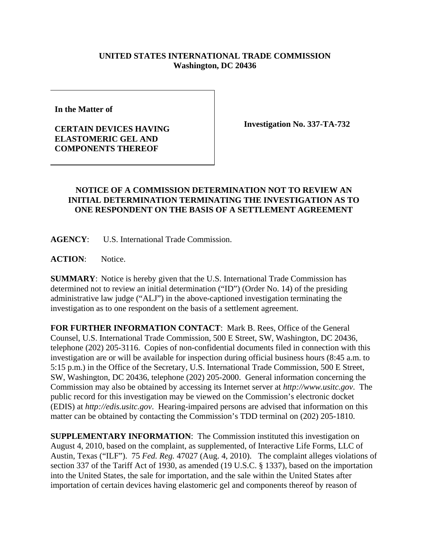## **UNITED STATES INTERNATIONAL TRADE COMMISSION Washington, DC 20436**

**In the Matter of**

## **CERTAIN DEVICES HAVING ELASTOMERIC GEL AND COMPONENTS THEREOF**

**Investigation No. 337-TA-732**

## **NOTICE OF A COMMISSION DETERMINATION NOT TO REVIEW AN INITIAL DETERMINATION TERMINATING THE INVESTIGATION AS TO ONE RESPONDENT ON THE BASIS OF A SETTLEMENT AGREEMENT**

**AGENCY**: U.S. International Trade Commission.

**ACTION**: Notice.

**SUMMARY**: Notice is hereby given that the U.S. International Trade Commission has determined not to review an initial determination ("ID") (Order No. 14) of the presiding administrative law judge ("ALJ") in the above-captioned investigation terminating the investigation as to one respondent on the basis of a settlement agreement.

**FOR FURTHER INFORMATION CONTACT**: Mark B. Rees, Office of the General Counsel, U.S. International Trade Commission, 500 E Street, SW, Washington, DC 20436, telephone (202) 205-3116. Copies of non-confidential documents filed in connection with this investigation are or will be available for inspection during official business hours (8:45 a.m. to 5:15 p.m.) in the Office of the Secretary, U.S. International Trade Commission, 500 E Street, SW, Washington, DC 20436, telephone (202) 205-2000. General information concerning the Commission may also be obtained by accessing its Internet server at *http://www.usitc.gov*. The public record for this investigation may be viewed on the Commission's electronic docket (EDIS) at *http://edis.usitc.gov*. Hearing-impaired persons are advised that information on this matter can be obtained by contacting the Commission's TDD terminal on (202) 205-1810.

**SUPPLEMENTARY INFORMATION**: The Commission instituted this investigation on August 4, 2010, based on the complaint, as supplemented, of Interactive Life Forms, LLC of Austin, Texas ("ILF"). 75 *Fed. Reg.* 47027 (Aug. 4, 2010). The complaint alleges violations of section 337 of the Tariff Act of 1930, as amended (19 U.S.C. § 1337), based on the importation into the United States, the sale for importation, and the sale within the United States after importation of certain devices having elastomeric gel and components thereof by reason of